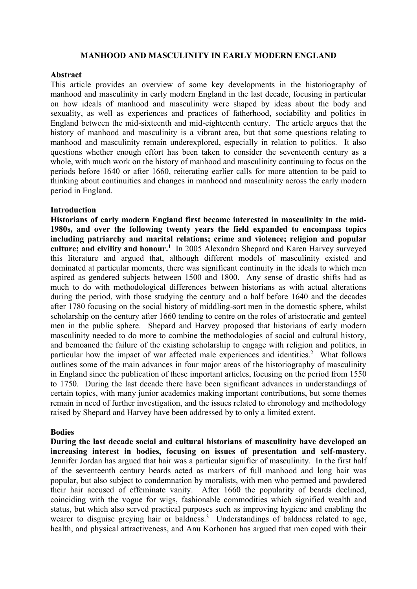### **MANHOOD AND MASCULINITY IN EARLY MODERN ENGLAND**

#### **Abstract**

This article provides an overview of some key developments in the historiography of manhood and masculinity in early modern England in the last decade, focusing in particular on how ideals of manhood and masculinity were shaped by ideas about the body and sexuality, as well as experiences and practices of fatherhood, sociability and politics in England between the mid-sixteenth and mid-eighteenth century. The article argues that the history of manhood and masculinity is a vibrant area, but that some questions relating to manhood and masculinity remain underexplored, especially in relation to politics. It also questions whether enough effort has been taken to consider the seventeenth century as a whole, with much work on the history of manhood and masculinity continuing to focus on the periods before 1640 or after 1660, reiterating earlier calls for more attention to be paid to thinking about continuities and changes in manhood and masculinity across the early modern period in England.

### **Introduction**

**Historians of early modern England first became interested in masculinity in the mid-1980s, and over the following twenty years the field expanded to encompass topics including patriarchy and marital relations; crime and violence; religion and popular**  culture; and civility and honour.<sup>1</sup> In 2005 Alexandra Shepard and Karen Harvey surveyed this literature and argued that, although different models of masculinity existed and dominated at particular moments, there was significant continuity in the ideals to which men aspired as gendered subjects between 1500 and 1800. Any sense of drastic shifts had as much to do with methodological differences between historians as with actual alterations during the period, with those studying the century and a half before 1640 and the decades after 1780 focusing on the social history of middling-sort men in the domestic sphere, whilst scholarship on the century after 1660 tending to centre on the roles of aristocratic and genteel men in the public sphere. Shepard and Harvey proposed that historians of early modern masculinity needed to do more to combine the methodologies of social and cultural history, and bemoaned the failure of the existing scholarship to engage with religion and politics, in particular how the impact of war affected male experiences and identities.<sup>2</sup> What follows outlines some of the main advances in four major areas of the historiography of masculinity in England since the publication of these important articles, focusing on the period from 1550 to 1750. During the last decade there have been significant advances in understandings of certain topics, with many junior academics making important contributions, but some themes remain in need of further investigation, and the issues related to chronology and methodology raised by Shepard and Harvey have been addressed by to only a limited extent.

### **Bodies**

**During the last decade social and cultural historians of masculinity have developed an increasing interest in bodies, focusing on issues of presentation and self-mastery.** Jennifer Jordan has argued that hair was a particular signifier of masculinity. In the first half of the seventeenth century beards acted as markers of full manhood and long hair was popular, but also subject to condemnation by moralists, with men who permed and powdered their hair accused of effeminate vanity. After 1660 the popularity of beards declined, coinciding with the vogue for wigs, fashionable commodities which signified wealth and status, but which also served practical purposes such as improving hygiene and enabling the wearer to disguise greying hair or baldness.<sup>3</sup> Understandings of baldness related to age, health, and physical attractiveness, and Anu Korhonen has argued that men coped with their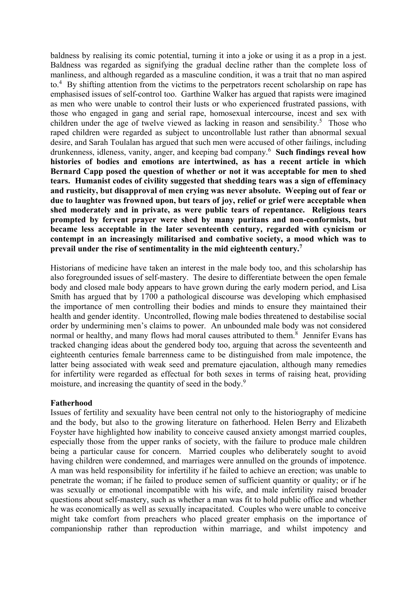baldness by realising its comic potential, turning it into a joke or using it as a prop in a jest. Baldness was regarded as signifying the gradual decline rather than the complete loss of manliness, and although regarded as a masculine condition, it was a trait that no man aspired to.<sup>4</sup> By shifting attention from the victims to the perpetrators recent scholarship on rape has emphasised issues of self-control too. Garthine Walker has argued that rapists were imagined as men who were unable to control their lusts or who experienced frustrated passions, with those who engaged in gang and serial rape, homosexual intercourse, incest and sex with children under the age of twelve viewed as lacking in reason and sensibility.<sup>5</sup> Those who raped children were regarded as subject to uncontrollable lust rather than abnormal sexual desire, and Sarah Toulalan has argued that such men were accused of other failings, including drunkenness, idleness, vanity, anger, and keeping bad company.<sup>6</sup> **Such findings reveal how histories of bodies and emotions are intertwined, as has a recent article in which Bernard Capp posed the question of whether or not it was acceptable for men to shed tears. Humanist codes of civility suggested that shedding tears was a sign of effeminacy and rusticity, but disapproval of men crying was never absolute. Weeping out of fear or due to laughter was frowned upon, but tears of joy, relief or grief were acceptable when shed moderately and in private, as were public tears of repentance. Religious tears prompted by fervent prayer were shed by many puritans and non-conformists, but became less acceptable in the later seventeenth century, regarded with cynicism or contempt in an increasingly militarised and combative society, a mood which was to prevail under the rise of sentimentality in the mid eighteenth century.<sup>7</sup>** 

Historians of medicine have taken an interest in the male body too, and this scholarship has also foregrounded issues of self-mastery. The desire to differentiate between the open female body and closed male body appears to have grown during the early modern period, and Lisa Smith has argued that by 1700 a pathological discourse was developing which emphasised the importance of men controlling their bodies and minds to ensure they maintained their health and gender identity. Uncontrolled, flowing male bodies threatened to destabilise social order by undermining men's claims to power. An unbounded male body was not considered normal or healthy, and many flows had moral causes attributed to them.<sup>8</sup> Jennifer Evans has tracked changing ideas about the gendered body too, arguing that across the seventeenth and eighteenth centuries female barrenness came to be distinguished from male impotence, the latter being associated with weak seed and premature ejaculation, although many remedies for infertility were regarded as effectual for both sexes in terms of raising heat, providing moisture, and increasing the quantity of seed in the body.<sup>9</sup>

### **Fatherhood**

Issues of fertility and sexuality have been central not only to the historiography of medicine and the body, but also to the growing literature on fatherhood. Helen Berry and Elizabeth Foyster have highlighted how inability to conceive caused anxiety amongst married couples, especially those from the upper ranks of society, with the failure to produce male children being a particular cause for concern. Married couples who deliberately sought to avoid having children were condemned, and marriages were annulled on the grounds of impotence. A man was held responsibility for infertility if he failed to achieve an erection; was unable to penetrate the woman; if he failed to produce semen of sufficient quantity or quality; or if he was sexually or emotional incompatible with his wife, and male infertility raised broader questions about self-mastery, such as whether a man was fit to hold public office and whether he was economically as well as sexually incapacitated. Couples who were unable to conceive might take comfort from preachers who placed greater emphasis on the importance of companionship rather than reproduction within marriage, and whilst impotency and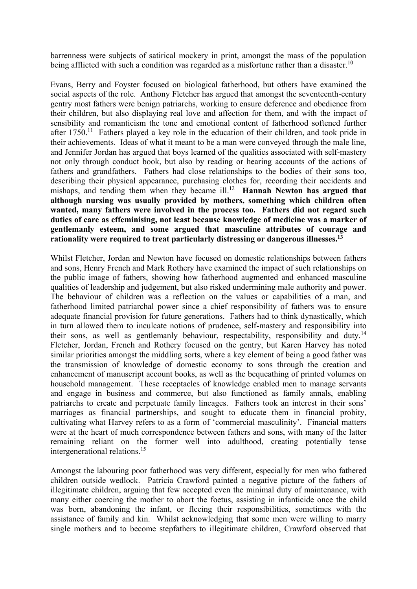barrenness were subjects of satirical mockery in print, amongst the mass of the population being afflicted with such a condition was regarded as a misfortune rather than a disaster.<sup>10</sup>

Evans, Berry and Foyster focused on biological fatherhood, but others have examined the social aspects of the role. Anthony Fletcher has argued that amongst the seventeenth-century gentry most fathers were benign patriarchs, working to ensure deference and obedience from their children, but also displaying real love and affection for them, and with the impact of sensibility and romanticism the tone and emotional content of fatherhood softened further after  $1750$ .<sup>11</sup> Fathers played a key role in the education of their children, and took pride in their achievements. Ideas of what it meant to be a man were conveyed through the male line, and Jennifer Jordan has argued that boys learned of the qualities associated with self-mastery not only through conduct book, but also by reading or hearing accounts of the actions of fathers and grandfathers. Fathers had close relationships to the bodies of their sons too, describing their physical appearance, purchasing clothes for, recording their accidents and mishaps, and tending them when they became ill. 12 **Hannah Newton has argued that although nursing was usually provided by mothers, something which children often wanted, many fathers were involved in the process too. Fathers did not regard such duties of care as effeminising, not least because knowledge of medicine was a marker of gentlemanly esteem, and some argued that masculine attributes of courage and rationality were required to treat particularly distressing or dangerous illnesses.<sup>13</sup>**

Whilst Fletcher, Jordan and Newton have focused on domestic relationships between fathers and sons, Henry French and Mark Rothery have examined the impact of such relationships on the public image of fathers, showing how fatherhood augmented and enhanced masculine qualities of leadership and judgement, but also risked undermining male authority and power. The behaviour of children was a reflection on the values or capabilities of a man, and fatherhood limited patriarchal power since a chief responsibility of fathers was to ensure adequate financial provision for future generations. Fathers had to think dynastically, which in turn allowed them to inculcate notions of prudence, self-mastery and responsibility into their sons, as well as gentlemanly behaviour, respectability, responsibility and duty.<sup>14</sup> Fletcher, Jordan, French and Rothery focused on the gentry, but Karen Harvey has noted similar priorities amongst the middling sorts, where a key element of being a good father was the transmission of knowledge of domestic economy to sons through the creation and enhancement of manuscript account books, as well as the bequeathing of printed volumes on household management. These receptacles of knowledge enabled men to manage servants and engage in business and commerce, but also functioned as family annals, enabling patriarchs to create and perpetuate family lineages. Fathers took an interest in their sons' marriages as financial partnerships, and sought to educate them in financial probity, cultivating what Harvey refers to as a form of 'commercial masculinity'. Financial matters were at the heart of much correspondence between fathers and sons, with many of the latter remaining reliant on the former well into adulthood, creating potentially tense intergenerational relations.<sup>15</sup>

Amongst the labouring poor fatherhood was very different, especially for men who fathered children outside wedlock. Patricia Crawford painted a negative picture of the fathers of illegitimate children, arguing that few accepted even the minimal duty of maintenance, with many either coercing the mother to abort the foetus, assisting in infanticide once the child was born, abandoning the infant, or fleeing their responsibilities, sometimes with the assistance of family and kin. Whilst acknowledging that some men were willing to marry single mothers and to become stepfathers to illegitimate children, Crawford observed that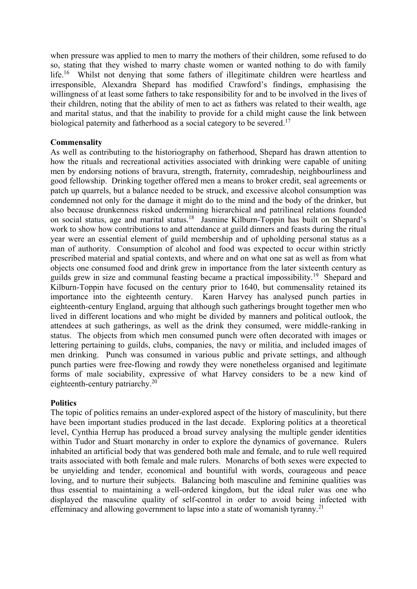when pressure was applied to men to marry the mothers of their children, some refused to do so, stating that they wished to marry chaste women or wanted nothing to do with family life.<sup>16</sup> Whilst not denying that some fathers of illegitimate children were heartless and irresponsible, Alexandra Shepard has modified Crawford's findings, emphasising the willingness of at least some fathers to take responsibility for and to be involved in the lives of their children, noting that the ability of men to act as fathers was related to their wealth, age and marital status, and that the inability to provide for a child might cause the link between biological paternity and fatherhood as a social category to be severed.<sup>17</sup>

# **Commensality**

As well as contributing to the historiography on fatherhood, Shepard has drawn attention to how the rituals and recreational activities associated with drinking were capable of uniting men by endorsing notions of bravura, strength, fraternity, comradeship, neighbourliness and good fellowship. Drinking together offered men a means to broker credit, seal agreements or patch up quarrels, but a balance needed to be struck, and excessive alcohol consumption was condemned not only for the damage it might do to the mind and the body of the drinker, but also because drunkenness risked undermining hierarchical and patrilineal relations founded on social status, age and marital status.<sup>18</sup> Jasmine Kilburn-Toppin has built on Shepard's work to show how contributions to and attendance at guild dinners and feasts during the ritual year were an essential element of guild membership and of upholding personal status as a man of authority. Consumption of alcohol and food was expected to occur within strictly prescribed material and spatial contexts, and where and on what one sat as well as from what objects one consumed food and drink grew in importance from the later sixteenth century as guilds grew in size and communal feasting became a practical impossibility.<sup>19</sup> Shepard and Kilburn-Toppin have focused on the century prior to 1640, but commensality retained its importance into the eighteenth century. Karen Harvey has analysed punch parties in eighteenth-century England, arguing that although such gatherings brought together men who lived in different locations and who might be divided by manners and political outlook, the attendees at such gatherings, as well as the drink they consumed, were middle-ranking in status. The objects from which men consumed punch were often decorated with images or lettering pertaining to guilds, clubs, companies, the navy or militia, and included images of men drinking. Punch was consumed in various public and private settings, and although punch parties were free-flowing and rowdy they were nonetheless organised and legitimate forms of male sociability, expressive of what Harvey considers to be a new kind of eighteenth-century patriarchy.<sup>20</sup>

## **Politics**

The topic of politics remains an under-explored aspect of the history of masculinity, but there have been important studies produced in the last decade. Exploring politics at a theoretical level, Cynthia Herrup has produced a broad survey analysing the multiple gender identities within Tudor and Stuart monarchy in order to explore the dynamics of governance. Rulers inhabited an artificial body that was gendered both male and female, and to rule well required traits associated with both female and male rulers. Monarchs of both sexes were expected to be unyielding and tender, economical and bountiful with words, courageous and peace loving, and to nurture their subjects. Balancing both masculine and feminine qualities was thus essential to maintaining a well-ordered kingdom, but the ideal ruler was one who displayed the masculine quality of self-control in order to avoid being infected with effeminacy and allowing government to lapse into a state of womanish tyranny.<sup>21</sup>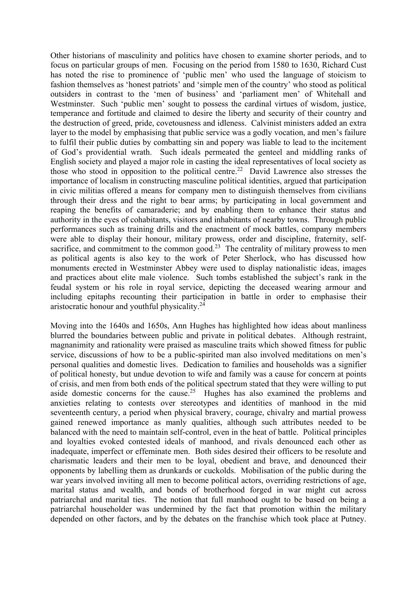Other historians of masculinity and politics have chosen to examine shorter periods, and to focus on particular groups of men. Focusing on the period from 1580 to 1630, Richard Cust has noted the rise to prominence of 'public men' who used the language of stoicism to fashion themselves as 'honest patriots' and 'simple men of the country' who stood as political outsiders in contrast to the 'men of business' and 'parliament men' of Whitehall and Westminster. Such 'public men' sought to possess the cardinal virtues of wisdom, justice, temperance and fortitude and claimed to desire the liberty and security of their country and the destruction of greed, pride, covetousness and idleness. Calvinist ministers added an extra layer to the model by emphasising that public service was a godly vocation, and men's failure to fulfil their public duties by combatting sin and popery was liable to lead to the incitement of God's providential wrath. Such ideals permeated the genteel and middling ranks of English society and played a major role in casting the ideal representatives of local society as those who stood in opposition to the political centre.<sup>22</sup> David Lawrence also stresses the importance of localism in constructing masculine political identities, argued that participation in civic militias offered a means for company men to distinguish themselves from civilians through their dress and the right to bear arms; by participating in local government and reaping the benefits of camaraderie; and by enabling them to enhance their status and authority in the eyes of cohabitants, visitors and inhabitants of nearby towns. Through public performances such as training drills and the enactment of mock battles, company members were able to display their honour, military prowess, order and discipline, fraternity, selfsacrifice, and commitment to the common good.<sup>23</sup> The centrality of military prowess to men as political agents is also key to the work of Peter Sherlock, who has discussed how monuments erected in Westminster Abbey were used to display nationalistic ideas, images and practices about elite male violence. Such tombs established the subject's rank in the feudal system or his role in royal service, depicting the deceased wearing armour and including epitaphs recounting their participation in battle in order to emphasise their aristocratic honour and youthful physicality.<sup>24</sup>

Moving into the 1640s and 1650s, Ann Hughes has highlighted how ideas about manliness blurred the boundaries between public and private in political debates. Although restraint, magnanimity and rationality were praised as masculine traits which showed fitness for public service, discussions of how to be a public-spirited man also involved meditations on men's personal qualities and domestic lives. Dedication to families and households was a signifier of political honesty, but undue devotion to wife and family was a cause for concern at points of crisis, and men from both ends of the political spectrum stated that they were willing to put aside domestic concerns for the cause.<sup>25</sup> Hughes has also examined the problems and anxieties relating to contests over stereotypes and identities of manhood in the mid seventeenth century, a period when physical bravery, courage, chivalry and martial prowess gained renewed importance as manly qualities, although such attributes needed to be balanced with the need to maintain self-control, even in the heat of battle. Political principles and loyalties evoked contested ideals of manhood, and rivals denounced each other as inadequate, imperfect or effeminate men. Both sides desired their officers to be resolute and charismatic leaders and their men to be loyal, obedient and brave, and denounced their opponents by labelling them as drunkards or cuckolds. Mobilisation of the public during the war years involved inviting all men to become political actors, overriding restrictions of age, marital status and wealth, and bonds of brotherhood forged in war might cut across patriarchal and marital ties. The notion that full manhood ought to be based on being a patriarchal householder was undermined by the fact that promotion within the military depended on other factors, and by the debates on the franchise which took place at Putney.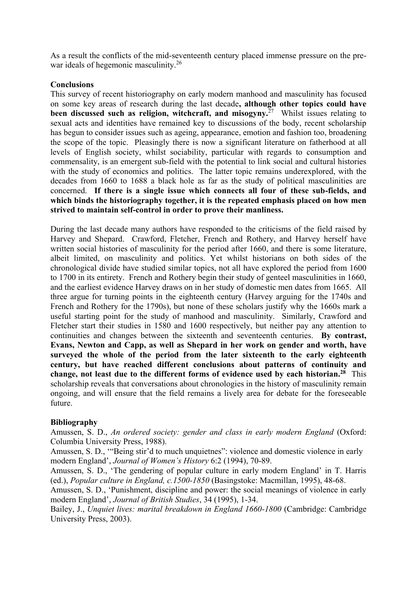As a result the conflicts of the mid-seventeenth century placed immense pressure on the prewar ideals of hegemonic masculinity.<sup>26</sup>

## **Conclusions**

This survey of recent historiography on early modern manhood and masculinity has focused on some key areas of research during the last decade**, although other topics could have**  been discussed such as religion, witchcraft, and misogyny.<sup>27</sup> Whilst issues relating to sexual acts and identities have remained key to discussions of the body, recent scholarship has begun to consider issues such as ageing, appearance, emotion and fashion too, broadening the scope of the topic. Pleasingly there is now a significant literature on fatherhood at all levels of English society, whilst sociability, particular with regards to consumption and commensality, is an emergent sub-field with the potential to link social and cultural histories with the study of economics and politics. The latter topic remains underexplored, with the decades from 1660 to 1688 a black hole as far as the study of political masculinities are concerned. **If there is a single issue which connects all four of these sub-fields, and which binds the historiography together, it is the repeated emphasis placed on how men strived to maintain self-control in order to prove their manliness.**

During the last decade many authors have responded to the criticisms of the field raised by Harvey and Shepard. Crawford, Fletcher, French and Rothery, and Harvey herself have written social histories of masculinity for the period after 1660, and there is some literature, albeit limited, on masculinity and politics. Yet whilst historians on both sides of the chronological divide have studied similar topics, not all have explored the period from 1600 to 1700 in its entirety. French and Rothery begin their study of genteel masculinities in 1660, and the earliest evidence Harvey draws on in her study of domestic men dates from 1665. All three argue for turning points in the eighteenth century (Harvey arguing for the 1740s and French and Rothery for the 1790s), but none of these scholars justify why the 1660s mark a useful starting point for the study of manhood and masculinity. Similarly, Crawford and Fletcher start their studies in 1580 and 1600 respectively, but neither pay any attention to continuities and changes between the sixteenth and seventeenth centuries. **By contrast, Evans, Newton and Capp, as well as Shepard in her work on gender and worth, have surveyed the whole of the period from the later sixteenth to the early eighteenth century, but have reached different conclusions about patterns of continuity and change, not least due to the different forms of evidence used by each historian. <sup>28</sup>** This scholarship reveals that conversations about chronologies in the history of masculinity remain ongoing, and will ensure that the field remains a lively area for debate for the foreseeable future.

## **Bibliography**

Amussen, S. D., *An ordered society: gender and class in early modern England* (Oxford: Columbia University Press, 1988).

Amussen, S. D., '"Being stir'd to much unquietnes": violence and domestic violence in early modern England', *Journal of Women's History* 6:2 (1994), 70-89.

Amussen, S. D., 'The gendering of popular culture in early modern England' in T. Harris (ed.), *Popular culture in England, c.1500-1850* (Basingstoke: Macmillan, 1995), 48-68.

Amussen, S. D., 'Punishment, discipline and power: the social meanings of violence in early modern England', *Journal of British Studies*, 34 (1995), 1-34.

Bailey, J., *Unquiet lives: marital breakdown in England 1660-1800* (Cambridge: Cambridge University Press, 2003).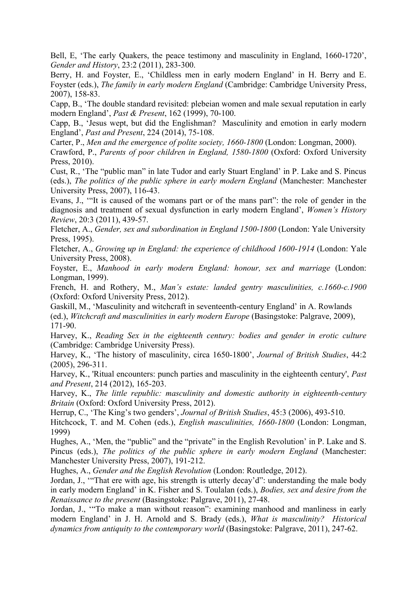Bell, E, 'The early Quakers, the peace testimony and masculinity in England, 1660-1720', *Gender and History*, 23:2 (2011), 283-300.

Berry, H. and Foyster, E., 'Childless men in early modern England' in H. Berry and E. Foyster (eds.), *The family in early modern England* (Cambridge: Cambridge University Press, 2007), 158-83.

Capp, B., 'The double standard revisited: plebeian women and male sexual reputation in early modern England', *Past & Present*, 162 (1999), 70-100.

Capp, B., 'Jesus wept, but did the Englishman? Masculinity and emotion in early modern England', *Past and Present*, 224 (2014), 75-108.

Carter, P., *Men and the emergence of polite society, 1660-1800* (London: Longman, 2000).

Crawford, P., *Parents of poor children in England, 1580-1800* (Oxford: Oxford University Press, 2010).

Cust, R., 'The "public man" in late Tudor and early Stuart England' in P. Lake and S. Pincus (eds.), *The politics of the public sphere in early modern England* (Manchester: Manchester University Press, 2007), 116-43.

Evans, J., '"It is caused of the womans part or of the mans part": the role of gender in the diagnosis and treatment of sexual dysfunction in early modern England', *Women's History Review*, 20:3 (2011), 439-57.

Fletcher, A., *Gender, sex and subordination in England 1500-1800* (London: Yale University Press, 1995).

Fletcher, A., *Growing up in England: the experience of childhood 1600-1914* (London: Yale University Press, 2008).

Foyster, E., *Manhood in early modern England: honour, sex and marriage* (London: Longman, 1999).

French, H. and Rothery, M., *Man's estate: landed gentry masculinities, c.1660-c.1900* (Oxford: Oxford University Press, 2012).

Gaskill, M., 'Masculinity and witchcraft in seventeenth-century England' in A. Rowlands

(ed.), *Witchcraft and masculinities in early modern Europe* (Basingstoke: Palgrave, 2009), 171-90.

Harvey, K., *Reading Sex in the eighteenth century: bodies and gender in erotic culture* (Cambridge: Cambridge University Press).

Harvey, K., 'The history of masculinity, circa 1650-1800', *Journal of British Studies*, 44:2 (2005), 296-311.

Harvey, K., 'Ritual encounters: punch parties and masculinity in the eighteenth century', *Past and Present*, 214 (2012), 165-203.

Harvey, K., *The little republic: masculinity and domestic authority in eighteenth-century Britain* (Oxford: Oxford University Press, 2012).

Herrup, C., 'The King's two genders', *Journal of British Studies*, 45:3 (2006), 493-510.

Hitchcock, T. and M. Cohen (eds.), *English masculinities, 1660-1800* (London: Longman, 1999)

Hughes, A., 'Men, the "public" and the "private" in the English Revolution' in P. Lake and S. Pincus (eds.), *The politics of the public sphere in early modern England* (Manchester: Manchester University Press, 2007), 191-212.

Hughes, A., *Gender and the English Revolution* (London: Routledge, 2012).

Jordan, J., '"That ere with age, his strength is utterly decay'd": understanding the male body in early modern England' in K. Fisher and S. Toulalan (eds.), *Bodies, sex and desire from the Renaissance to the present* (Basingstoke: Palgrave, 2011), 27-48.

Jordan, J., '"To make a man without reason": examining manhood and manliness in early modern England' in J. H. Arnold and S. Brady (eds.), *What is masculinity? Historical dynamics from antiquity to the contemporary world* (Basingstoke: Palgrave, 2011), 247-62.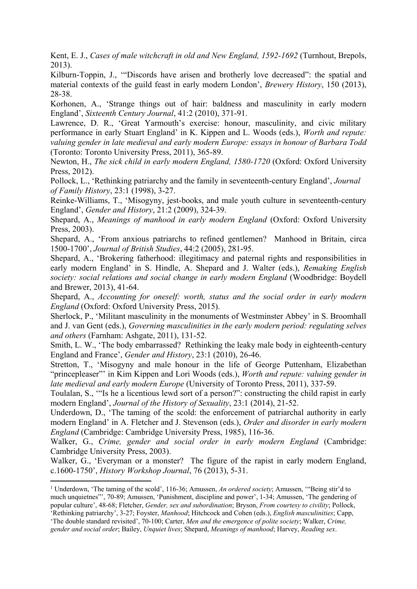Kent, E. J., *Cases of male witchcraft in old and New England, 1592-1692* (Turnhout, Brepols, 2013).

Kilburn-Toppin, J., '"Discords have arisen and brotherly love decreased": the spatial and material contexts of the guild feast in early modern London', *Brewery History*, 150 (2013), 28-38.

Korhonen, A., 'Strange things out of hair: baldness and masculinity in early modern England', *Sixteenth Century Journal*, 41:2 (2010), 371-91.

Lawrence, D. R., 'Great Yarmouth's exercise: honour, masculinity, and civic military performance in early Stuart England' in K. Kippen and L. Woods (eds.), *Worth and repute: valuing gender in late medieval and early modern Europe: essays in honour of Barbara Todd* (Toronto: Toronto University Press, 2011), 365-89.

Newton, H., *The sick child in early modern England, 1580-1720* (Oxford: Oxford University Press, 2012).

Pollock, L., 'Rethinking patriarchy and the family in seventeenth-century England', *Journal of Family History*, 23:1 (1998), 3-27.

Reinke-Williams, T., 'Misogyny, jest-books, and male youth culture in seventeenth-century England', *Gender and History*, 21:2 (2009), 324-39.

Shepard, A., *Meanings of manhood in early modern England* (Oxford: Oxford University Press, 2003).

Shepard, A., 'From anxious patriarchs to refined gentlemen? Manhood in Britain, circa 1500-1700', *Journal of British Studies*, 44:2 (2005), 281-95.

Shepard, A., 'Brokering fatherhood: illegitimacy and paternal rights and responsibilities in early modern England' in S. Hindle, A. Shepard and J. Walter (eds.), *Remaking English society: social relations and social change in early modern England* (Woodbridge: Boydell and Brewer, 2013), 41-64.

Shepard, A., *Accounting for oneself: worth, status and the social order in early modern England* (Oxford: Oxford University Press, 2015).

Sherlock, P., 'Militant masculinity in the monuments of Westminster Abbey' in S. Broomhall and J. van Gent (eds.), *Governing masculinities in the early modern period: regulating selves and others* (Farnham: Ashgate, 2011), 131-52.

Smith, L. W., 'The body embarrassed? Rethinking the leaky male body in eighteenth-century England and France', *Gender and History*, 23:1 (2010), 26-46.

Stretton, T., 'Misogyny and male honour in the life of George Puttenham, Elizabethan "princepleaser"' in Kim Kippen and Lori Woods (eds.), *Worth and repute: valuing gender in late medieval and early modern Europe* (University of Toronto Press, 2011), 337-59.

Toulalan, S., '"Is he a licentious lewd sort of a person?": constructing the child rapist in early modern England', *Journal of the History of Sexuality*, 23:1 (2014), 21-52.

Underdown, D., 'The taming of the scold: the enforcement of patriarchal authority in early modern England' in A. Fletcher and J. Stevenson (eds.), *Order and disorder in early modern England* (Cambridge: Cambridge University Press, 1985), 116-36.

Walker, G., *Crime, gender and social order in early modern England* (Cambridge: Cambridge University Press, 2003).

Walker, G., 'Everyman or a monster? The figure of the rapist in early modern England, c.1600-1750', *History Workshop Journal*, 76 (2013), 5-31.

<u>.</u>

<sup>1</sup> Underdown, 'The taming of the scold', 116-36; Amussen, *An ordered society*; Amussen, '"Being stir'd to much unquietnes"', 70-89; Amussen, 'Punishment, discipline and power', 1-34; Amussen, 'The gendering of popular culture', 48-68; Fletcher, *Gender, sex and subordination*; Bryson, *From courtesy to civility*; Pollock, 'Rethinking patriarchy', 3-27; Foyster, *Manhood*; Hitchcock and Cohen (eds.), *English masculinities*; Capp,

<sup>&#</sup>x27;The double standard revisited', 70-100; Carter, *Men and the emergence of polite society*; Walker, *Crime, gender and social order*; Bailey, *Unquiet lives*; Shepard, *Meanings of manhood*; Harvey, *Reading sex*.